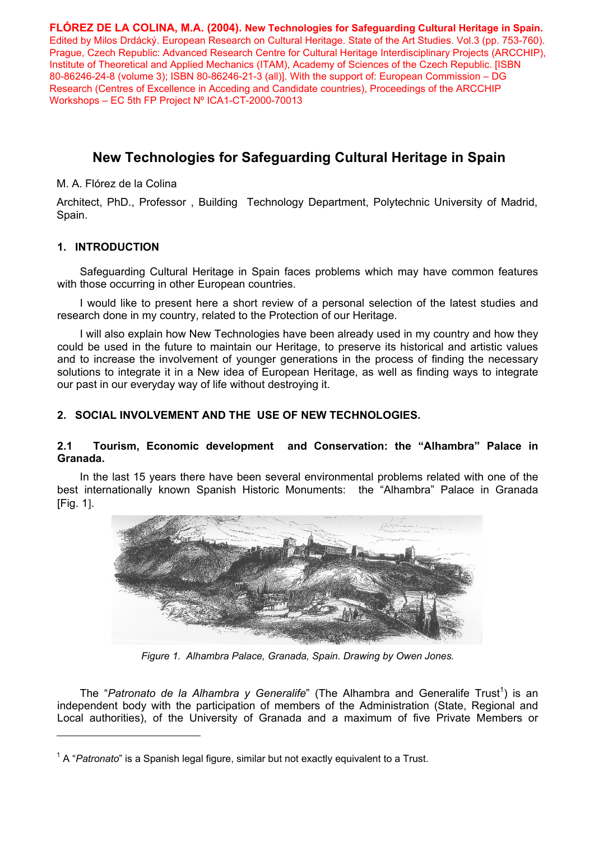**FLÓREZ DE LA COLINA, M.A. (2004). New Technologies for Safeguarding Cultural Heritage in Spain.** Edited by Milos Drdácký. European Research on Cultural Heritage. State of the Art Studies. Vol.3 (pp. 753-760). Prague, Czech Republic: Advanced Research Centre for Cultural Heritage Interdisciplinary Projects (ARCCHIP), Institute of Theoretical and Applied Mechanics (ITAM), Academy of Sciences of the Czech Republic. [ISBN 80-86246-24-8 (volume 3); ISBN 80-86246-21-3 (all)]. With the support of: European Commission – DG Research (Centres of Excellence in Acceding and Candidate countries), Proceedings of the ARCCHIP Workshops – EC 5th FP Project Nº ICA1-CT-2000-70013

# **New Technologies for Safeguarding Cultural Heritage in Spain**

M. A. Flórez de la Colina

Architect, PhD., Professor , Building Technology Department, Polytechnic University of Madrid, Spain.

# **1. INTRODUCTION**

Safeguarding Cultural Heritage in Spain faces problems which may have common features with those occurring in other European countries.

I would like to present here a short review of a personal selection of the latest studies and research done in my country, related to the Protection of our Heritage.

I will also explain how New Technologies have been already used in my country and how they could be used in the future to maintain our Heritage, to preserve its historical and artistic values and to increase the involvement of younger generations in the process of finding the necessary solutions to integrate it in a New idea of European Heritage, as well as finding ways to integrate our past in our everyday way of life without destroying it.

# **2. SOCIAL INVOLVEMENT AND THE USE OF NEW TECHNOLOGIES.**

# **2.1 Tourism, Economic development and Conservation: the "Alhambra" Palace in Granada.**

In the last 15 years there have been several environmental problems related with one of the best internationally known Spanish Historic Monuments: the "Alhambra" Palace in Granada [Fig. 1].



*Figure 1. Alhambra Palace, Granada, Spain. Drawing by Owen Jones.* 

The "Patronato de la Alhambra y Generalife" (The Alhambra and Generalife Trust<sup>1</sup>) is an independent body with the participation of members of the Administration (State, Regional and Local authorities), of the University of Granada and a maximum of five Private Members or

<sup>&</sup>lt;sup>1</sup> A "*Patronato*" is a Spanish legal figure, similar but not exactly equivalent to a Trust.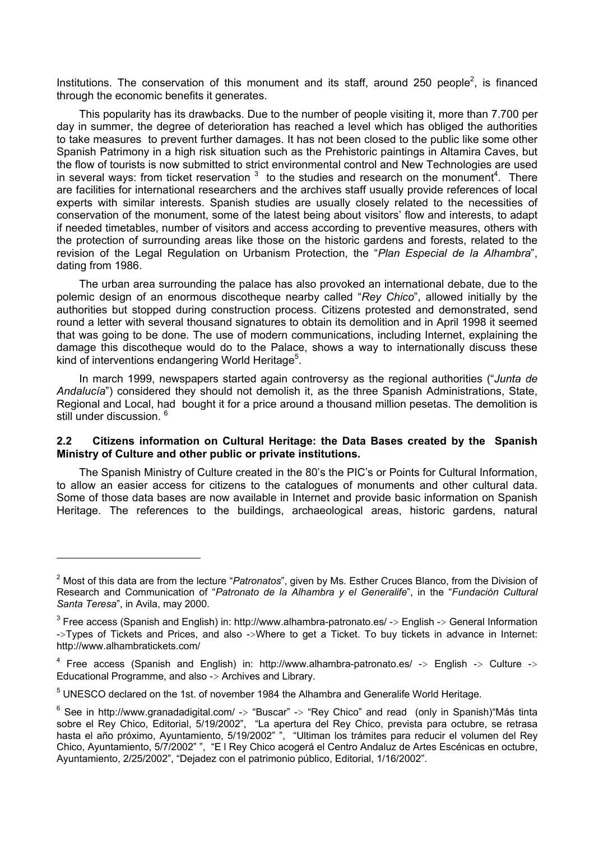Institutions. The conservation of this monument and its staff, around 250 people<sup>2</sup>, is financed through the economic benefits it generates.

This popularity has its drawbacks. Due to the number of people visiting it, more than 7.700 per day in summer, the degree of deterioration has reached a level which has obliged the authorities to take measures to prevent further damages. It has not been closed to the public like some other Spanish Patrimony in a high risk situation such as the Prehistoric paintings in Altamira Caves, but the flow of tourists is now submitted to strict environmental control and New Technologies are used in several ways: from ticket reservation  $3$  to the studies and research on the monument<sup>4</sup>. There are facilities for international researchers and the archives staff usually provide references of local experts with similar interests. Spanish studies are usually closely related to the necessities of conservation of the monument, some of the latest being about visitors' flow and interests, to adapt if needed timetables, number of visitors and access according to preventive measures, others with the protection of surrounding areas like those on the historic gardens and forests, related to the revision of the Legal Regulation on Urbanism Protection, the "*Plan Especial de la Alhambra*", dating from 1986.

The urban area surrounding the palace has also provoked an international debate, due to the polemic design of an enormous discotheque nearby called "*Rey Chico*", allowed initially by the authorities but stopped during construction process. Citizens protested and demonstrated, send round a letter with several thousand signatures to obtain its demolition and in April 1998 it seemed that was going to be done. The use of modern communications, including Internet, explaining the damage this discotheque would do to the Palace, shows a way to internationally discuss these kind of interventions endangering World Heritage<sup>5</sup>.

In march 1999, newspapers started again controversy as the regional authorities ("*Junta de Andalucía*") considered they should not demolish it, as the three Spanish Administrations, State, Regional and Local, had bought it for a price around a thousand million pesetas. The demolition is still under discussion.<sup>6</sup>

#### **2.2 Citizens information on Cultural Heritage: the Data Bases created by the Spanish Ministry of Culture and other public or private institutions.**

The Spanish Ministry of Culture created in the 80's the PIC's or Points for Cultural Information, to allow an easier access for citizens to the catalogues of monuments and other cultural data. Some of those data bases are now available in Internet and provide basic information on Spanish Heritage. The references to the buildings, archaeological areas, historic gardens, natural

 $\overline{a}$ 

<sup>2</sup> Most of this data are from the lecture "*Patronatos*", given by Ms. Esther Cruces Blanco, from the Division of Research and Communication of "*Patronato de la Alhambra y el Generalife*", in the "*Fundación Cultural Santa Teresa*", in Avila, may 2000.

<sup>&</sup>lt;sup>3</sup> Free access (Spanish and English) in: http://www.alhambra-patronato.es/ -> English -> General Information ->Types of Tickets and Prices, and also ->Where to get a Ticket. To buy tickets in advance in Internet: http://www.alhambratickets.com/

<sup>&</sup>lt;sup>4</sup> Free access (Spanish and English) in: http://www.alhambra-patronato.es/ -> English -> Culture -> Educational Programme, and also -> Archives and Library.

 $<sup>5</sup>$  UNESCO declared on the 1st. of november 1984 the Alhambra and Generalife World Heritage.</sup>

 $6$  See in http://www.granadadigital.com/ -> "Buscar" -> "Rey Chico" and read (only in Spanish) Más tinta sobre el Rey Chico, Editorial, 5/19/2002", "La apertura del Rey Chico, prevista para octubre, se retrasa hasta el año próximo, Ayuntamiento, 5/19/2002" ", "Ultiman los trámites para reducir el volumen del Rey Chico, Ayuntamiento, 5/7/2002" ", "E l Rey Chico acogerá el Centro Andaluz de Artes Escénicas en octubre, Ayuntamiento, 2/25/2002", "Dejadez con el patrimonio público, Editorial, 1/16/2002".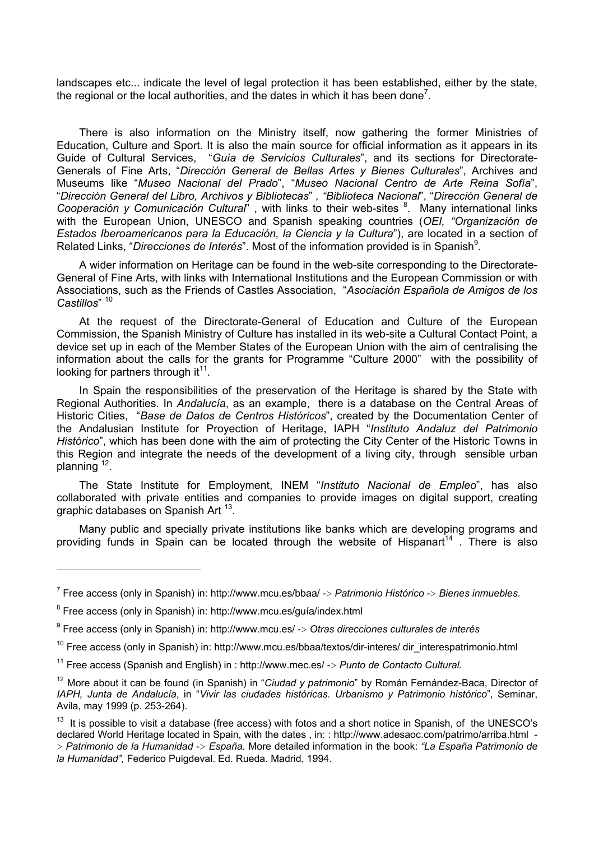landscapes etc... indicate the level of legal protection it has been established, either by the state, the regional or the local authorities, and the dates in which it has been done<sup>7</sup>.

There is also information on the Ministry itself, now gathering the former Ministries of Education, Culture and Sport. It is also the main source for official information as it appears in its Guide of Cultural Services, "*Guía de Servicios Culturales*", and its sections for Directorate-Generals of Fine Arts, "*Dirección General de Bellas Artes y Bienes Culturales*", Archives and Museums like "*Museo Nacional del Prado*", "*Museo Nacional Centro de Arte Reina Sofía*", "*Dirección General del Libro, Archivos y Bibliotecas*" *, "Biblioteca Nacional*", "*Dirección General de*  Cooperación y Comunicación Cultural", with links to their web-sites <sup>8</sup>. Many international links with the European Union, UNESCO and Spanish speaking countries (*OEI, "Organización de Estados Iberoamericanos para la Educación, la Ciencia y la Cultura*"), are located in a section of Related Links, "Direcciones de Interés". Most of the information provided is in Spanish<sup>9</sup>.

A wider information on Heritage can be found in the web-site corresponding to the Directorate-General of Fine Arts, with links with International Institutions and the European Commission or with Associations, such as the Friends of Castles Association, "*Asociación Española de Amigos de los Castillos*" 10

At the request of the Directorate-General of Education and Culture of the European Commission, the Spanish Ministry of Culture has installed in its web-site a Cultural Contact Point, a device set up in each of the Member States of the European Union with the aim of centralising the information about the calls for the grants for Programme "Culture 2000" with the possibility of looking for partners through  $it^{11}$ .

In Spain the responsibilities of the preservation of the Heritage is shared by the State with Regional Authorities. In *Andalucía*, as an example, there is a database on the Central Areas of Historic Cities, "*Base de Datos de Centros Históricos*", created by the Documentation Center of the Andalusian Institute for Proyection of Heritage, IAPH "*Instituto Andaluz del Patrimonio Histórico*", which has been done with the aim of protecting the City Center of the Historic Towns in this Region and integrate the needs of the development of a living city, through sensible urban planning 12.

The State Institute for Employment, INEM "*Instituto Nacional de Empleo*", has also collaborated with private entities and companies to provide images on digital support, creating graphic databases on Spanish Art<sup>13</sup>.

Many public and specially private institutions like banks which are developing programs and providing funds in Spain can be located through the website of Hispanart<sup>14</sup>. There is also

<sup>7</sup> Free access (only in Spanish) in: http://www.mcu.es/bbaa/ -> *Patrimonio Histórico* -> *Bienes inmuebles.* 

<sup>&</sup>lt;sup>8</sup> Free access (only in Spanish) in: http://www.mcu.es/guía/index.html

<sup>9</sup> Free access (only in Spanish) in: http://www.mcu.es/ -> *Otras direcciones culturales de interés*

<sup>&</sup>lt;sup>10</sup> Free access (only in Spanish) in: http://www.mcu.es/bbaa/textos/dir-interes/ dir\_interespatrimonio.html

<sup>11</sup> Free access (Spanish and English) in : http://www.mec.es/ -> *Punto de Contacto Cultural.*

<sup>12</sup> More about it can be found (in Spanish) in "*Ciudad y patrimonio*" by Román Fernández-Baca, Director of *IAPH, Junta de Andalucía*, in "*Vivir las ciudades históricas. Urbanismo y Patrimonio histórico*", Seminar, Avila, may 1999 (p. 253-264).

<sup>&</sup>lt;sup>13</sup> It is possible to visit a database (free access) with fotos and a short notice in Spanish, of the UNESCO's declared World Heritage located in Spain, with the dates , in: : http://www.adesaoc.com/patrimo/arriba.html - > *Patrimonio de la Humanidad* -> *España.* More detailed information in the book: *"La España Patrimonio de la Humanidad",* Federico Puigdeval. Ed. Rueda. Madrid, 1994.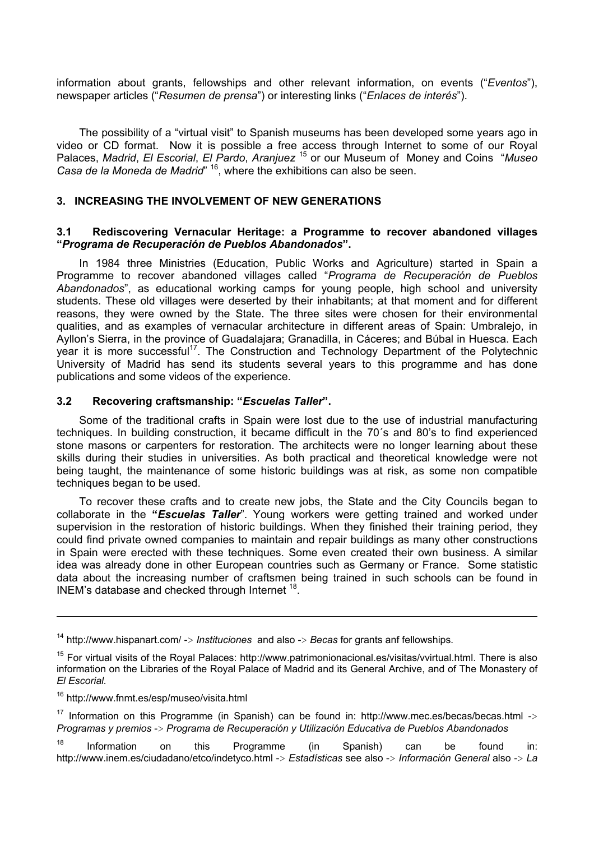information about grants, fellowships and other relevant information, on events ("*Eventos*"), newspaper articles ("*Resumen de prensa*") or interesting links ("*Enlaces de interés*").

The possibility of a "virtual visit" to Spanish museums has been developed some years ago in video or CD format. Now it is possible a free access through Internet to some of our Royal Palaces, *Madrid*, *El Escorial*, *El Pardo*, *Aranjuez* <sup>15</sup> or our Museum of Money and Coins "*Museo Casa de la Moneda de Madrid*" 16, where the exhibitions can also be seen.

## **3. INCREASING THE INVOLVEMENT OF NEW GENERATIONS**

#### **3.1 Rediscovering Vernacular Heritage: a Programme to recover abandoned villages "***Programa de Recuperación de Pueblos Abandonados***".**

In 1984 three Ministries (Education, Public Works and Agriculture) started in Spain a Programme to recover abandoned villages called "*Programa de Recuperación de Pueblos Abandonados*", as educational working camps for young people, high school and university students. These old villages were deserted by their inhabitants; at that moment and for different reasons, they were owned by the State. The three sites were chosen for their environmental qualities, and as examples of vernacular architecture in different areas of Spain: Umbralejo, in Ayllon's Sierra, in the province of Guadalajara; Granadilla, in Cáceres; and Búbal in Huesca. Each year it is more successful<sup>17</sup>. The Construction and Technology Department of the Polytechnic University of Madrid has send its students several years to this programme and has done publications and some videos of the experience.

## **3.2 Recovering craftsmanship: "***Escuelas Taller***".**

Some of the traditional crafts in Spain were lost due to the use of industrial manufacturing techniques. In building construction, it became difficult in the 70´s and 80's to find experienced stone masons or carpenters for restoration. The architects were no longer learning about these skills during their studies in universities. As both practical and theoretical knowledge were not being taught, the maintenance of some historic buildings was at risk, as some non compatible techniques began to be used.

To recover these crafts and to create new jobs, the State and the City Councils began to collaborate in the **"***Escuelas Taller*". Young workers were getting trained and worked under supervision in the restoration of historic buildings. When they finished their training period, they could find private owned companies to maintain and repair buildings as many other constructions in Spain were erected with these techniques. Some even created their own business. A similar idea was already done in other European countries such as Germany or France. Some statistic data about the increasing number of craftsmen being trained in such schools can be found in INEM's database and checked through Internet 18.

<sup>14</sup> http://www.hispanart.com/ -> *Instituciones* and also -> *Becas* for grants anf fellowships*.*

<sup>&</sup>lt;sup>15</sup> For virtual visits of the Royal Palaces: http://www.patrimonionacional.es/visitas/vvirtual.html. There is also information on the Libraries of the Royal Palace of Madrid and its General Archive, and of The Monastery of *El Escorial.* 

<sup>16</sup> http://www.fnmt.es/esp/museo/visita.html

<sup>&</sup>lt;sup>17</sup> Information on this Programme (in Spanish) can be found in: http://www.mec.es/becas/becas.html  $\rightarrow$ *Programas y premios* -> *Programa de Recuperación y Utilización Educativa de Pueblos Abandonados* 

 $18$  Information on this Programme (in Spanish) can be found in: http://www.inem.es/ciudadano/etco/indetyco.html -> *Estadísticas* see also -> *Información General* also -> *La*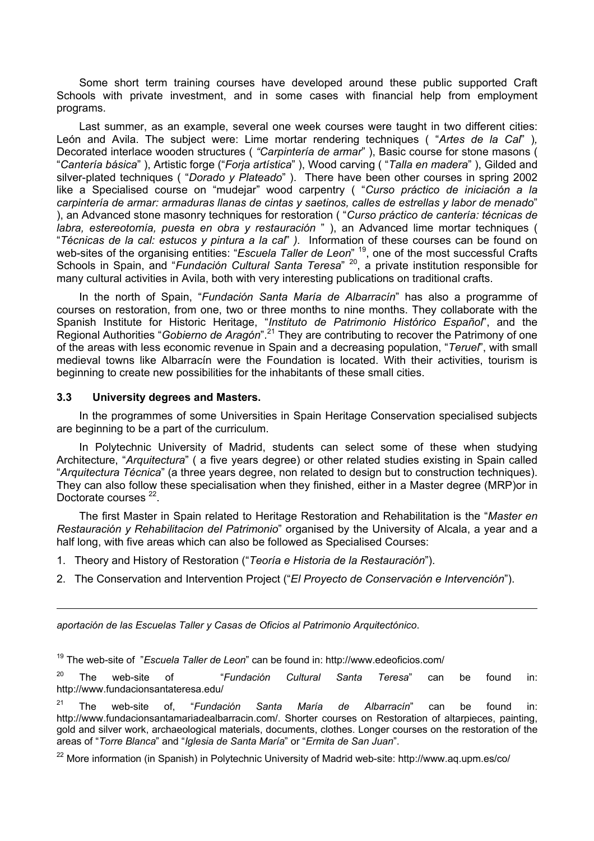Some short term training courses have developed around these public supported Craft Schools with private investment, and in some cases with financial help from employment programs.

Last summer, as an example, several one week courses were taught in two different cities: León and Avila. The subject were: Lime mortar rendering techniques ( "*Artes de la Cal*" )*,*  Decorated interlace wooden structures ( *"Carpintería de armar*" ), Basic course for stone masons ( "*Cantería básica*" ), Artistic forge ("*Forja artística*" ), Wood carving ( "*Talla en madera*" ), Gilded and silver-plated techniques ( "*Dorado y Plateado*" ). There have been other courses in spring 2002 like a Specialised course on "mudejar" wood carpentry ( "*Curso práctico de iniciación a la carpintería de armar: armaduras llanas de cintas y saetinos, calles de estrellas y labor de menado*" ), an Advanced stone masonry techniques for restoration ( "*Curso práctico de cantería: técnicas de labra, estereotomía, puesta en obra y restauración* " ), an Advanced lime mortar techniques ( "*Técnicas de la cal: estucos y pintura a la cal*" *).* Information of these courses can be found on web-sites of the organising entities: "*Escuela Taller de Leon*" 19, one of the most successful Crafts Schools in Spain, and "*Fundación Cultural Santa Teresa*" 20, a private institution responsible for many cultural activities in Avila, both with very interesting publications on traditional crafts.

In the north of Spain, "*Fundación Santa María de Albarracín*" has also a programme of courses on restoration, from one, two or three months to nine months. They collaborate with the Spanish Institute for Historic Heritage, "*Instituto de Patrimonio Histórico Español*", and the Regional Authorities "*Gobierno de Aragón*".21 They are contributing to recover the Patrimony of one of the areas with less economic revenue in Spain and a decreasing population, "*Teruel*", with small medieval towns like Albarracín were the Foundation is located. With their activities, tourism is beginning to create new possibilities for the inhabitants of these small cities.

## **3.3 University degrees and Masters.**

In the programmes of some Universities in Spain Heritage Conservation specialised subjects are beginning to be a part of the curriculum.

In Polytechnic University of Madrid, students can select some of these when studying Architecture, "*Arquitectura*" ( a five years degree) or other related studies existing in Spain called "*Arquitectura Técnica*" (a three years degree, non related to design but to construction techniques). They can also follow these specialisation when they finished, either in a Master degree (MRP)or in Doctorate courses<sup>22</sup>.

The first Master in Spain related to Heritage Restoration and Rehabilitation is the "*Master en Restauración y Rehabilitacion del Patrimonio*" organised by the University of Alcala, a year and a half long, with five areas which can also be followed as Specialised Courses:

- 1. Theory and History of Restoration ("*Teoría e Historia de la Restauración*").
- 2. The Conservation and Intervention Project ("*El Proyecto de Conservación e Intervención*").

*aportación de las Escuelas Taller y Casas de Oficios al Patrimonio Arquitectónico*.

19 The web-site of "*Escuela Taller de Leon*" can be found in: http://www.edeoficios.com/

20 The web-site of "*Fundación Cultural Santa Teresa*" can be found in: http://www.fundacionsantateresa.edu/

21 The web-site of, "*Fundación Santa María de Albarracín*" can be found in: http://www.fundacionsantamariadealbarracin.com/. Shorter courses on Restoration of altarpieces, painting, gold and silver work, archaeological materials, documents, clothes. Longer courses on the restoration of the areas of "*Torre Blanca*" and "*Iglesia de Santa María*" or "*Ermita de San Juan*".

<sup>22</sup> More information (in Spanish) in Polytechnic University of Madrid web-site: http://www.aq.upm.es/co/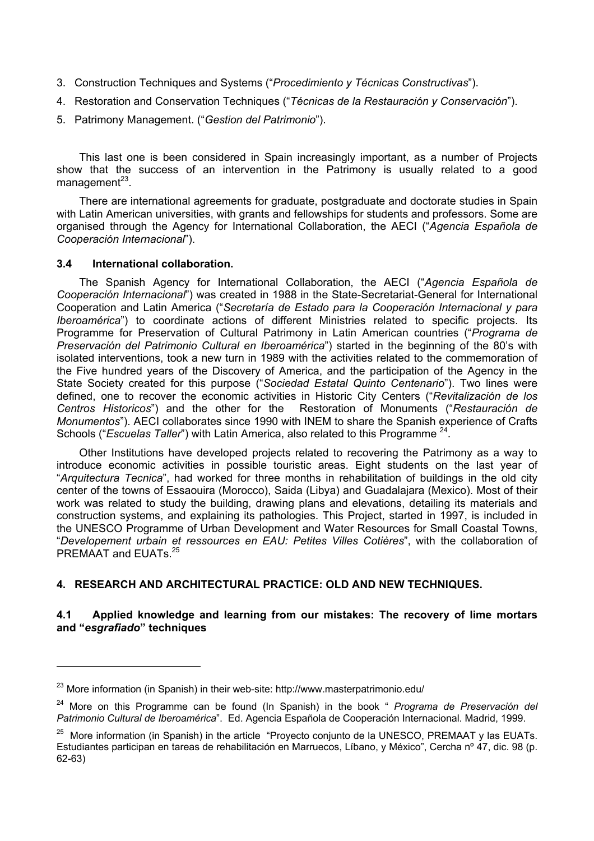- 3. Construction Techniques and Systems ("*Procedimiento y Técnicas Constructivas*").
- 4. Restoration and Conservation Techniques ("*Técnicas de la Restauración y Conservación*").
- 5. Patrimony Management. ("*Gestion del Patrimonio*").

This last one is been considered in Spain increasingly important, as a number of Projects show that the success of an intervention in the Patrimony is usually related to a good management $^{23}$ .

There are international agreements for graduate, postgraduate and doctorate studies in Spain with Latin American universities, with grants and fellowships for students and professors. Some are organised through the Agency for International Collaboration, the AECI ("*Agencia Española de Cooperación Internacional*").

## **3.4 International collaboration.**

 $\overline{a}$ 

The Spanish Agency for International Collaboration, the AECI ("*Agencia Española de Cooperación Internacional*") was created in 1988 in the State-Secretariat-General for International Cooperation and Latin America ("*Secretaría de Estado para la Cooperación Internacional y para Iberoamérica*") to coordinate actions of different Ministries related to specific projects. Its Programme for Preservation of Cultural Patrimony in Latin American countries ("*Programa de Preservación del Patrimonio Cultural en Iberoamérica*") started in the beginning of the 80's with isolated interventions, took a new turn in 1989 with the activities related to the commemoration of the Five hundred years of the Discovery of America, and the participation of the Agency in the State Society created for this purpose ("*Sociedad Estatal Quinto Centenario*"). Two lines were defined, one to recover the economic activities in Historic City Centers ("*Revitalización de los Centros Historicos*") and the other for the Restoration of Monuments ("*Restauración de Monumentos*"). AECI collaborates since 1990 with INEM to share the Spanish experience of Crafts Schools ("*Escuelas Taller*") with Latin America, also related to this Programme<sup>24</sup>.

Other Institutions have developed projects related to recovering the Patrimony as a way to introduce economic activities in possible touristic areas. Eight students on the last year of "*Arquitectura Tecnica*", had worked for three months in rehabilitation of buildings in the old city center of the towns of Essaouira (Morocco), Saida (Libya) and Guadalajara (Mexico). Most of their work was related to study the building, drawing plans and elevations, detailing its materials and construction systems, and explaining its pathologies. This Project, started in 1997, is included in the UNESCO Programme of Urban Development and Water Resources for Small Coastal Towns, "*Developement urbain et ressources en EAU: Petites Villes Cotières*", with the collaboration of PREMAAT and EUATs. 25

# **4. RESEARCH AND ARCHITECTURAL PRACTICE: OLD AND NEW TECHNIQUES.**

# **4.1 Applied knowledge and learning from our mistakes: The recovery of lime mortars and "***esgrafiado***" techniques**

<sup>&</sup>lt;sup>23</sup> More information (in Spanish) in their web-site: http://www.masterpatrimonio.edu/

<sup>24</sup> More on this Programme can be found (In Spanish) in the book " *Programa de Preservación del Patrimonio Cultural de Iberoamérica*". Ed. Agencia Española de Cooperación Internacional. Madrid, 1999.

 $25$  More information (in Spanish) in the article "Proyecto conjunto de la UNESCO, PREMAAT y las EUATs. Estudiantes participan en tareas de rehabilitación en Marruecos, Líbano, y México", Cercha nº 47, dic. 98 (p. 62-63)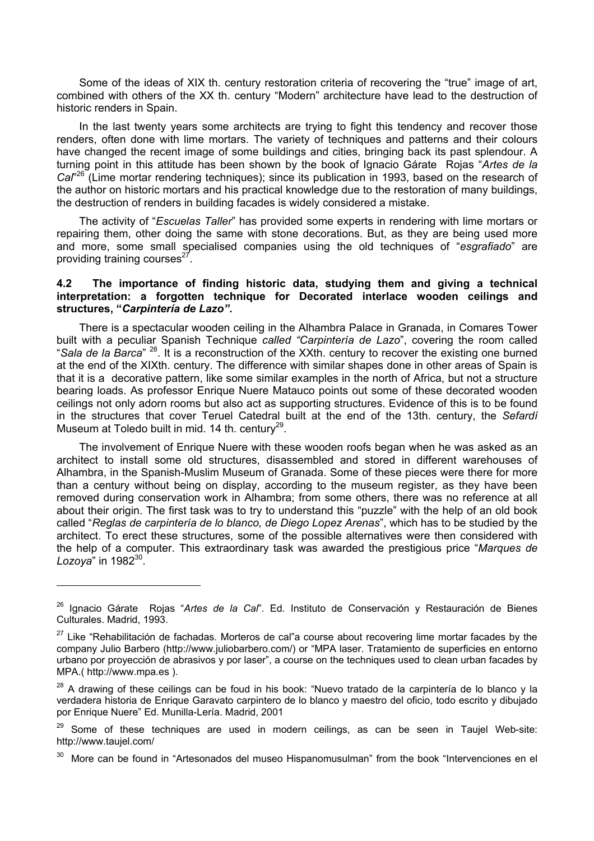Some of the ideas of XIX th. century restoration criteria of recovering the "true" image of art, combined with others of the XX th. century "Modern" architecture have lead to the destruction of historic renders in Spain.

In the last twenty years some architects are trying to fight this tendency and recover those renders, often done with lime mortars. The variety of techniques and patterns and their colours have changed the recent image of some buildings and cities, bringing back its past splendour. A turning point in this attitude has been shown by the book of Ignacio Gárate Rojas "*Artes de la*  Cal<sup>"26</sup> (Lime mortar rendering techniques); since its publication in 1993, based on the research of the author on historic mortars and his practical knowledge due to the restoration of many buildings, the destruction of renders in building facades is widely considered a mistake.

The activity of "*Escuelas Taller*" has provided some experts in rendering with lime mortars or repairing them, other doing the same with stone decorations. But, as they are being used more and more, some small specialised companies using the old techniques of "*esgrafiado*" are providing training courses $^{27}$ .

#### **4.2 The importance of finding historic data, studying them and giving a technical interpretation: a forgotten technique for Decorated interlace wooden ceilings and structures, "***Carpintería de Lazo"***.**

There is a spectacular wooden ceiling in the Alhambra Palace in Granada, in Comares Tower built with a peculiar Spanish Technique *called "Carpintería de Lazo*", covering the room called "*Sala de la Barca*" 28. It is a reconstruction of the XXth. century to recover the existing one burned at the end of the XIXth. century. The difference with similar shapes done in other areas of Spain is that it is a decorative pattern, like some similar examples in the north of Africa, but not a structure bearing loads. As professor Enrique Nuere Matauco points out some of these decorated wooden ceilings not only adorn rooms but also act as supporting structures. Evidence of this is to be found in the structures that cover Teruel Catedral built at the end of the 13th. century, the *Sefardí* Museum at Toledo built in mid. 14 th. century<sup>29</sup>.

The involvement of Enrique Nuere with these wooden roofs began when he was asked as an architect to install some old structures, disassembled and stored in different warehouses of Alhambra, in the Spanish-Muslim Museum of Granada. Some of these pieces were there for more than a century without being on display, according to the museum register, as they have been removed during conservation work in Alhambra; from some others, there was no reference at all about their origin. The first task was to try to understand this "puzzle" with the help of an old book called "*Reglas de carpintería de lo blanco, de Diego Lopez Arenas*", which has to be studied by the architect. To erect these structures, some of the possible alternatives were then considered with the help of a computer. This extraordinary task was awarded the prestigious price "*Marques de Lozoya*" in 198230.

 $\overline{a}$ 

<sup>26</sup> Ignacio Gárate Rojas "*Artes de la Cal*". Ed. Instituto de Conservación y Restauración de Bienes Culturales. Madrid, 1993.

 $27$  Like "Rehabilitación de fachadas. Morteros de cal"a course about recovering lime mortar facades by the company Julio Barbero (http://www.juliobarbero.com/) or "MPA laser. Tratamiento de superficies en entorno urbano por proyección de abrasivos y por laser", a course on the techniques used to clean urban facades by MPA.( http://www.mpa.es ).

<sup>&</sup>lt;sup>28</sup> A drawing of these ceilings can be foud in his book: "Nuevo tratado de la carpintería de lo blanco y la verdadera historia de Enrique Garavato carpintero de lo blanco y maestro del oficio, todo escrito y dibujado por Enrique Nuere" Ed. Munilla-Lería. Madrid, 2001

 $29$  Some of these techniques are used in modern ceilings, as can be seen in Taujel Web-site: http://www.taujel.com/

<sup>30</sup> More can be found in "Artesonados del museo Hispanomusulman" from the book "Intervenciones en el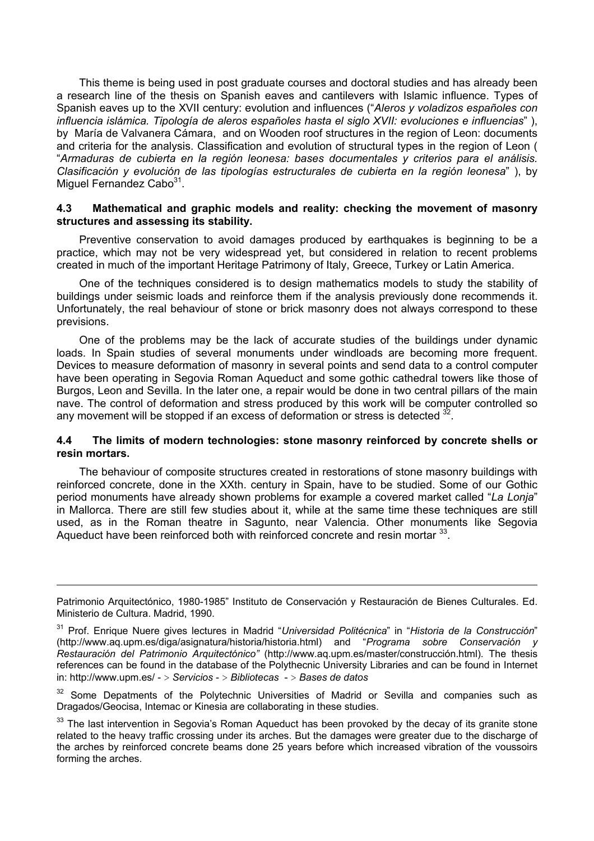This theme is being used in post graduate courses and doctoral studies and has already been a research line of the thesis on Spanish eaves and cantilevers with Islamic influence. Types of Spanish eaves up to the XVII century: evolution and influences ("*Aleros y voladizos españoles con influencia islámica. Tipología de aleros españoles hasta el siglo XVII: evoluciones e influencias*" ), by María de Valvanera Cámara, and on Wooden roof structures in the region of Leon: documents and criteria for the analysis. Classification and evolution of structural types in the region of Leon ( "*Armaduras de cubierta en la región leonesa: bases documentales y criterios para el análisis. Clasificación y evolución de las tipologías estructurales de cubierta en la región leonesa*" ), by Miguel Fernandez Cabo $31$ .

#### **4.3 Mathematical and graphic models and reality: checking the movement of masonry structures and assessing its stability.**

Preventive conservation to avoid damages produced by earthquakes is beginning to be a practice, which may not be very widespread yet, but considered in relation to recent problems created in much of the important Heritage Patrimony of Italy, Greece, Turkey or Latin America.

One of the techniques considered is to design mathematics models to study the stability of buildings under seismic loads and reinforce them if the analysis previously done recommends it. Unfortunately, the real behaviour of stone or brick masonry does not always correspond to these previsions.

One of the problems may be the lack of accurate studies of the buildings under dynamic loads. In Spain studies of several monuments under windloads are becoming more frequent. Devices to measure deformation of masonry in several points and send data to a control computer have been operating in Segovia Roman Aqueduct and some gothic cathedral towers like those of Burgos, Leon and Sevilla. In the later one, a repair would be done in two central pillars of the main nave. The control of deformation and stress produced by this work will be computer controlled so any movement will be stopped if an excess of deformation or stress is detected <sup>32</sup>.

#### **4.4 The limits of modern technologies: stone masonry reinforced by concrete shells or resin mortars.**

The behaviour of composite structures created in restorations of stone masonry buildings with reinforced concrete, done in the XXth. century in Spain, have to be studied. Some of our Gothic period monuments have already shown problems for example a covered market called "*La Lonja*" in Mallorca. There are still few studies about it, while at the same time these techniques are still used, as in the Roman theatre in Sagunto, near Valencia. Other monuments like Segovia Aqueduct have been reinforced both with reinforced concrete and resin mortar <sup>33</sup>.

 $\overline{a}$ 

Some Depatments of the Polytechnic Universities of Madrid or Sevilla and companies such as Dragados/Geocisa, Intemac or Kinesia are collaborating in these studies.

Patrimonio Arquitectónico, 1980-1985" Instituto de Conservación y Restauración de Bienes Culturales. Ed. Ministerio de Cultura. Madrid, 1990.

<sup>31</sup> Prof. Enrique Nuere gives lectures in Madrid "*Universidad Politécnica*" in "*Historia de la Construcción*" (http://www.aq.upm.es/diga/asignatura/historia/historia.html) and "*Programa sobre Conservación y Restauración del Patrimonio Arquitectónico"* (http://www.aq.upm.es/master/construcción.html). The thesis references can be found in the database of the Polythecnic University Libraries and can be found in Internet in: http://www.upm.es/ - > *Servicios* - > *Bibliotecas* - > *Bases de datos*

<sup>&</sup>lt;sup>33</sup> The last intervention in Segovia's Roman Aqueduct has been provoked by the decay of its granite stone related to the heavy traffic crossing under its arches. But the damages were greater due to the discharge of the arches by reinforced concrete beams done 25 years before which increased vibration of the voussoirs forming the arches.